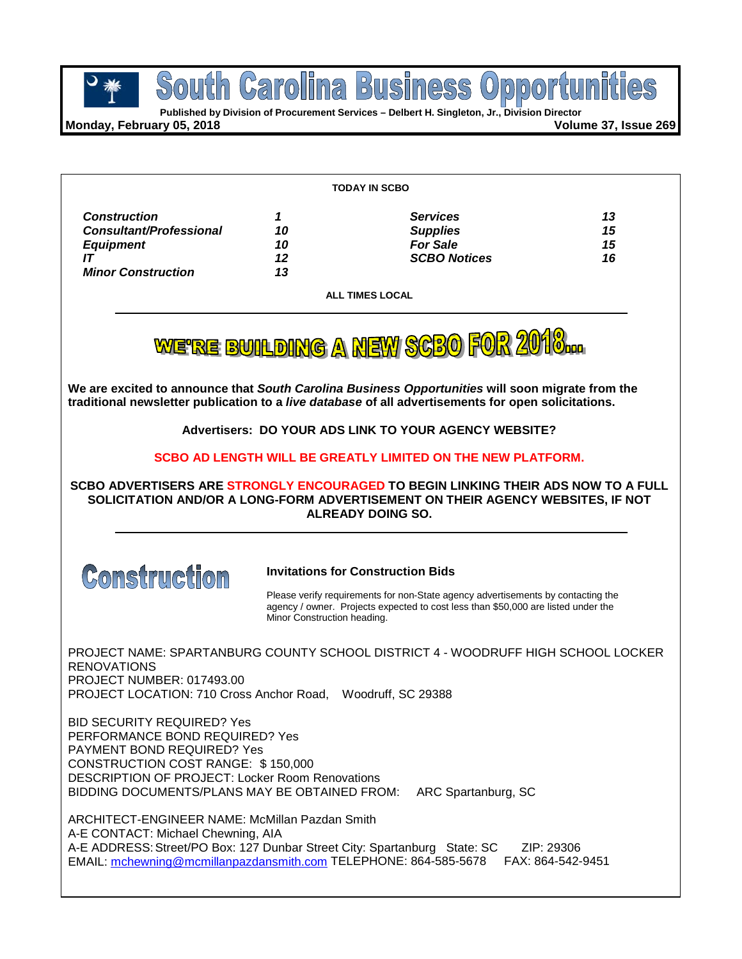

**SOUTH CATOLINA BUSINESS OPPOTTU**<br> **Published by Division of Procurement Services – Delbert H. Singleton, Jr., Division Director** 

**Monday, February 05, 2018 Volume 37, Issue 269**

| <b>TODAY IN SCBO</b>           |    |                     |    |
|--------------------------------|----|---------------------|----|
| <b>Construction</b>            |    | <b>Services</b>     | 13 |
| <b>Consultant/Professional</b> | 10 | <b>Supplies</b>     | 15 |
| <b>Equipment</b>               | 10 | <b>For Sale</b>     | 15 |
|                                | 12 | <b>SCBO Notices</b> | 16 |
| <b>Minor Construction</b>      | 13 |                     |    |

**ALL TIMES LOCAL**

WE'RE BUILDING A NEW SCBO FOR 2010.

**We are excited to announce that** *South Carolina Business Opportunities* **will soon migrate from the traditional newsletter publication to a** *live database* **of all advertisements for open solicitations.**

**Advertisers: DO YOUR ADS LINK TO YOUR AGENCY WEBSITE?**

**SCBO AD LENGTH WILL BE GREATLY LIMITED ON THE NEW PLATFORM.**

**SCBO ADVERTISERS ARE STRONGLY ENCOURAGED TO BEGIN LINKING THEIR ADS NOW TO A FULL SOLICITATION AND/OR A LONG-FORM ADVERTISEMENT ON THEIR AGENCY WEBSITES, IF NOT ALREADY DOING SO.**



#### **Invitations for Construction Bids**

Please verify requirements for non-State agency advertisements by contacting the agency / owner. Projects expected to cost less than \$50,000 are listed under the Minor Construction heading.

PROJECT NAME: SPARTANBURG COUNTY SCHOOL DISTRICT 4 - WOODRUFF HIGH SCHOOL LOCKER RENOVATIONS PROJECT NUMBER: 017493.00 PROJECT LOCATION: 710 Cross Anchor Road, Woodruff, SC 29388

BID SECURITY REQUIRED? Yes PERFORMANCE BOND REQUIRED? Yes PAYMENT BOND REQUIRED? Yes CONSTRUCTION COST RANGE: \$ 150,000 DESCRIPTION OF PROJECT: Locker Room Renovations BIDDING DOCUMENTS/PLANS MAY BE OBTAINED FROM: ARC Spartanburg, SC

ARCHITECT-ENGINEER NAME: McMillan Pazdan Smith A-E CONTACT: Michael Chewning, AIA A-E ADDRESS: Street/PO Box: 127 Dunbar Street City: Spartanburg State: SC ZIP: 29306 EMAIL: [mchewning@mcmillanpazdansmith.com](mailto:mchewning@mcmillanpazdansmith.com) TELEPHONE: 864-585-5678 FAX: 864-542-9451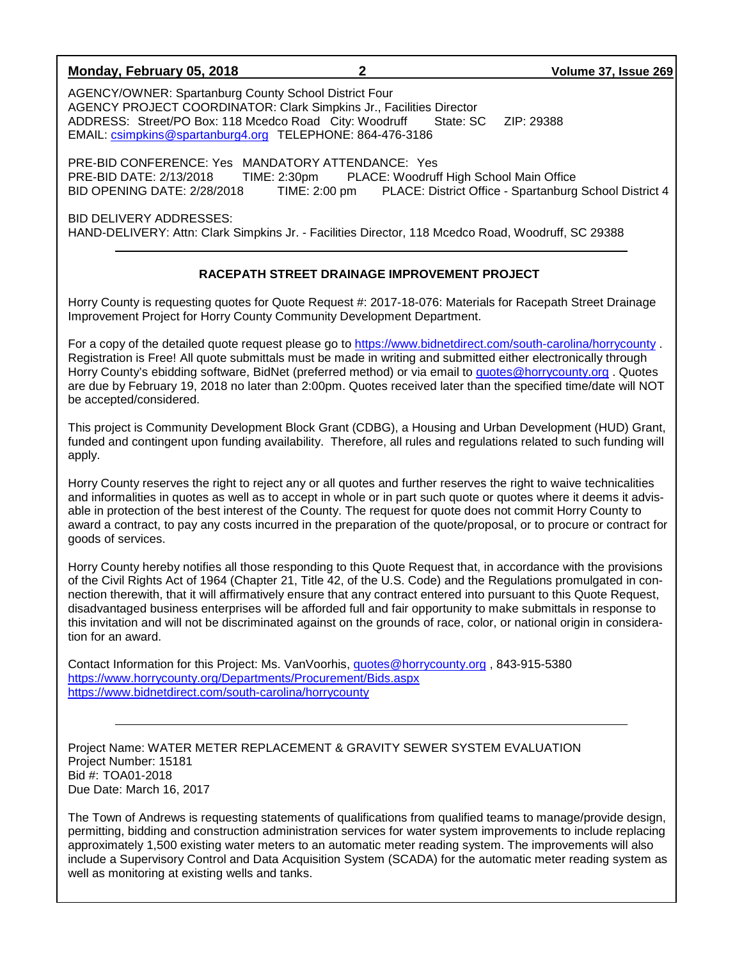### **Monday, February 05, 2018 2 Volume 37, Issue 269**

AGENCY/OWNER: Spartanburg County School District Four AGENCY PROJECT COORDINATOR: Clark Simpkins Jr., Facilities Director ADDRESS: Street/PO Box: 118 Mcedco Road City: Woodruff State: SC ZIP: 29388 EMAIL: [csimpkins@spartanburg4.org](mailto:csimpkins@spartanburg4.org) TELEPHONE: 864-476-3186

PRE-BID CONFERENCE: Yes MANDATORY ATTENDANCE: Yes PRE-BID DATE: 2/13/2018 TIME: 2:30pm PLACE: Woodruff High School Main Office BID OPENING DATE: 2/28/2018 TIME: 2:00 pm PLACE: District Office - Spartanburg School District 4

BID DELIVERY ADDRESSES: HAND-DELIVERY: Attn: Clark Simpkins Jr. - Facilities Director, 118 Mcedco Road, Woodruff, SC 29388

## **RACEPATH STREET DRAINAGE IMPROVEMENT PROJECT**

Horry County is requesting quotes for Quote Request #: 2017-18-076: Materials for Racepath Street Drainage Improvement Project for Horry County Community Development Department.

For a copy of the detailed quote request please go to<https://www.bidnetdirect.com/south-carolina/horrycounty> . Registration is Free! All quote submittals must be made in writing and submitted either electronically through Horry County's ebidding software, BidNet (preferred method) or via email to [quotes@horrycounty.org](mailto:quotes@horrycounty.org) . Quotes are due by February 19, 2018 no later than 2:00pm. Quotes received later than the specified time/date will NOT be accepted/considered.

This project is Community Development Block Grant (CDBG), a Housing and Urban Development (HUD) Grant, funded and contingent upon funding availability. Therefore, all rules and regulations related to such funding will apply.

Horry County reserves the right to reject any or all quotes and further reserves the right to waive technicalities and informalities in quotes as well as to accept in whole or in part such quote or quotes where it deems it advisable in protection of the best interest of the County. The request for quote does not commit Horry County to award a contract, to pay any costs incurred in the preparation of the quote/proposal, or to procure or contract for goods of services.

Horry County hereby notifies all those responding to this Quote Request that, in accordance with the provisions of the Civil Rights Act of 1964 (Chapter 21, Title 42, of the U.S. Code) and the Regulations promulgated in connection therewith, that it will affirmatively ensure that any contract entered into pursuant to this Quote Request, disadvantaged business enterprises will be afforded full and fair opportunity to make submittals in response to this invitation and will not be discriminated against on the grounds of race, color, or national origin in consideration for an award.

Contact Information for this Project: Ms. VanVoorhis, [quotes@horrycounty.org](mailto:quotes@horrycounty.org) , 843-915-5380 <https://www.horrycounty.org/Departments/Procurement/Bids.aspx> <https://www.bidnetdirect.com/south-carolina/horrycounty>

Project Name: WATER METER REPLACEMENT & GRAVITY SEWER SYSTEM EVALUATION Project Number: 15181 Bid #: TOA01-2018 Due Date: March 16, 2017

The Town of Andrews is requesting statements of qualifications from qualified teams to manage/provide design, permitting, bidding and construction administration services for water system improvements to include replacing approximately 1,500 existing water meters to an automatic meter reading system. The improvements will also include a Supervisory Control and Data Acquisition System (SCADA) for the automatic meter reading system as well as monitoring at existing wells and tanks.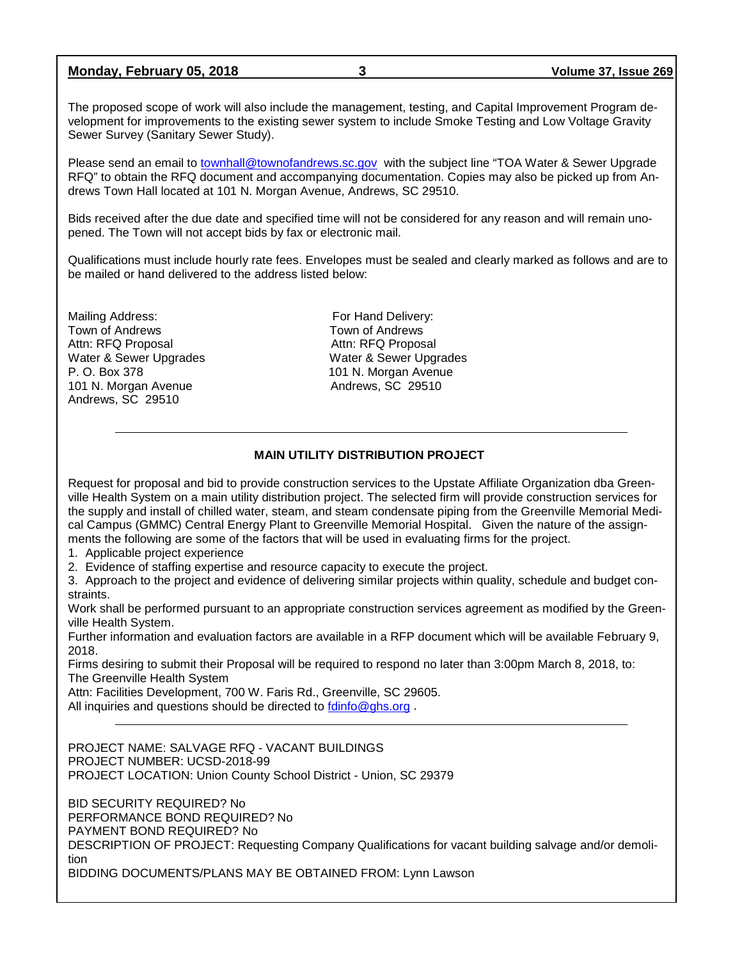|  | Monday, February 05, 2018 |  |  |
|--|---------------------------|--|--|
|--|---------------------------|--|--|

The proposed scope of work will also include the management, testing, and Capital Improvement Program development for improvements to the existing sewer system to include Smoke Testing and Low Voltage Gravity Sewer Survey (Sanitary Sewer Study).

Please send an email to [townhall@townofandrews.sc.gov](mailto:townhall@townofandrews.sc.gov) with the subject line "TOA Water & Sewer Upgrade RFQ" to obtain the RFQ document and accompanying documentation. Copies may also be picked up from Andrews Town Hall located at 101 N. Morgan Avenue, Andrews, SC 29510.

Bids received after the due date and specified time will not be considered for any reason and will remain unopened. The Town will not accept bids by fax or electronic mail.

Qualifications must include hourly rate fees. Envelopes must be sealed and clearly marked as follows and are to be mailed or hand delivered to the address listed below:

Mailing Address: Town of Andrews<br>
Town of Andrews<br>
Town of Andrews Town of Andrews Town of Andrews<br>
Attn: RFQ Proposal 
Attn: RFQ Proposal Attn: RFQ Proposal Water & Sewer Upgrades Water & Sewer Upgrades<br>
P. O. Box 378 (1997) 101 N. Morgan Avenue 101 N. Morgan Avenue **Andrews**, SC 29510 Andrews, SC 29510

101 N. Morgan Avenue

## **MAIN UTILITY DISTRIBUTION PROJECT**

Request for proposal and bid to provide construction services to the Upstate Affiliate Organization dba Greenville Health System on a main utility distribution project. The selected firm will provide construction services for the supply and install of chilled water, steam, and steam condensate piping from the Greenville Memorial Medical Campus (GMMC) Central Energy Plant to Greenville Memorial Hospital. Given the nature of the assignments the following are some of the factors that will be used in evaluating firms for the project.

- 1. Applicable project experience
- 2. Evidence of staffing expertise and resource capacity to execute the project.

3. Approach to the project and evidence of delivering similar projects within quality, schedule and budget constraints.

Work shall be performed pursuant to an appropriate construction services agreement as modified by the Greenville Health System.

Further information and evaluation factors are available in a RFP document which will be available February 9, 2018.

Firms desiring to submit their Proposal will be required to respond no later than 3:00pm March 8, 2018, to: The Greenville Health System

Attn: Facilities Development, 700 W. Faris Rd., Greenville, SC 29605. All inquiries and questions should be directed to [fdinfo@ghs.org](mailto:fdinfo@ghs.org).

PROJECT NAME: SALVAGE RFQ - VACANT BUILDINGS PROJECT NUMBER: UCSD-2018-99 PROJECT LOCATION: Union County School District - Union, SC 29379

BID SECURITY REQUIRED? No PERFORMANCE BOND REQUIRED? No PAYMENT BOND REQUIRED? No DESCRIPTION OF PROJECT: Requesting Company Qualifications for vacant building salvage and/or demolition BIDDING DOCUMENTS/PLANS MAY BE OBTAINED FROM: Lynn Lawson

**Monday, February 05, 2018 3 Volume 37, Issue 269**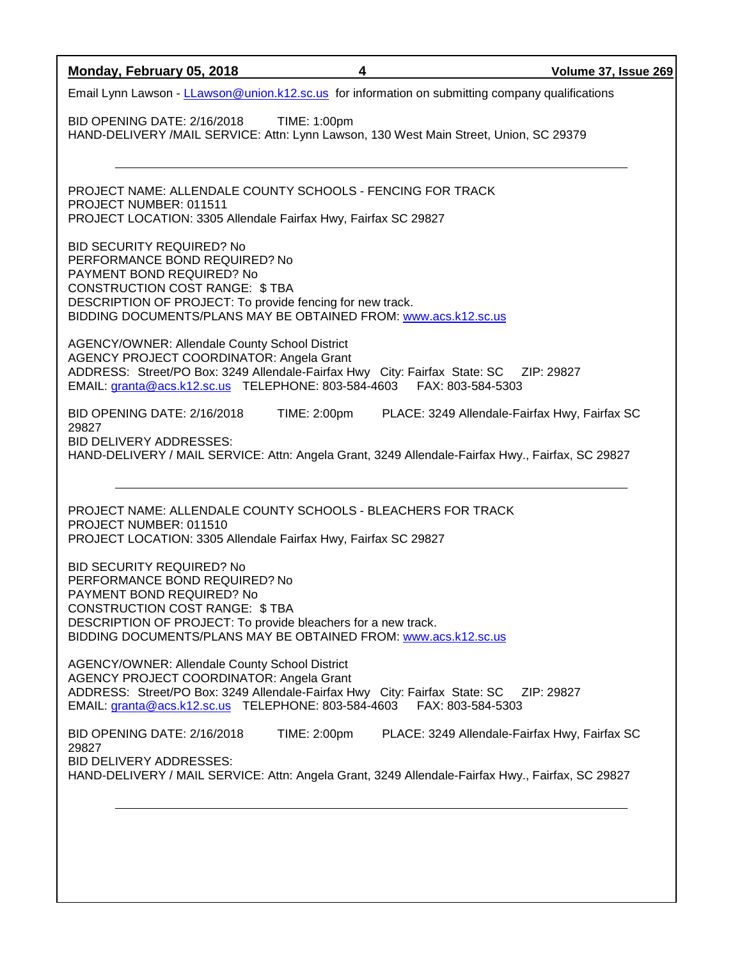| Monday, February 05, 2018                                                                                                                                                                                                                                                   | 4            |                                               | Volume 37, Issue 269 |
|-----------------------------------------------------------------------------------------------------------------------------------------------------------------------------------------------------------------------------------------------------------------------------|--------------|-----------------------------------------------|----------------------|
| Email Lynn Lawson - LLawson@union.k12.sc.us for information on submitting company qualifications                                                                                                                                                                            |              |                                               |                      |
| BID OPENING DATE: 2/16/2018<br>HAND-DELIVERY /MAIL SERVICE: Attn: Lynn Lawson, 130 West Main Street, Union, SC 29379                                                                                                                                                        | TIME: 1:00pm |                                               |                      |
|                                                                                                                                                                                                                                                                             |              |                                               |                      |
| PROJECT NAME: ALLENDALE COUNTY SCHOOLS - FENCING FOR TRACK<br>PROJECT NUMBER: 011511<br>PROJECT LOCATION: 3305 Allendale Fairfax Hwy, Fairfax SC 29827                                                                                                                      |              |                                               |                      |
| <b>BID SECURITY REQUIRED? No</b><br>PERFORMANCE BOND REQUIRED? No<br>PAYMENT BOND REQUIRED? No<br><b>CONSTRUCTION COST RANGE: \$TBA</b><br>DESCRIPTION OF PROJECT: To provide fencing for new track.<br>BIDDING DOCUMENTS/PLANS MAY BE OBTAINED FROM: www.acs.k12.sc.us     |              |                                               |                      |
| AGENCY/OWNER: Allendale County School District<br>AGENCY PROJECT COORDINATOR: Angela Grant<br>ADDRESS: Street/PO Box: 3249 Allendale-Fairfax Hwy City: Fairfax State: SC ZIP: 29827<br>EMAIL: granta@acs.k12.sc.us TELEPHONE: 803-584-4603 FAX: 803-584-5303                |              |                                               |                      |
| BID OPENING DATE: 2/16/2018<br>29827<br><b>BID DELIVERY ADDRESSES:</b><br>HAND-DELIVERY / MAIL SERVICE: Attn: Angela Grant, 3249 Allendale-Fairfax Hwy., Fairfax, SC 29827                                                                                                  | TIME: 2:00pm | PLACE: 3249 Allendale-Fairfax Hwy, Fairfax SC |                      |
| PROJECT NAME: ALLENDALE COUNTY SCHOOLS - BLEACHERS FOR TRACK<br>PROJECT NUMBER: 011510<br>PROJECT LOCATION: 3305 Allendale Fairfax Hwy, Fairfax SC 29827                                                                                                                    |              |                                               |                      |
| <b>BID SECURITY REQUIRED? No</b><br>PERFORMANCE BOND REQUIRED? No<br>PAYMENT BOND REQUIRED? No<br><b>CONSTRUCTION COST RANGE: \$TBA</b><br>DESCRIPTION OF PROJECT: To provide bleachers for a new track.<br>BIDDING DOCUMENTS/PLANS MAY BE OBTAINED FROM: www.acs.k12.sc.us |              |                                               |                      |
| AGENCY/OWNER: Allendale County School District<br>AGENCY PROJECT COORDINATOR: Angela Grant<br>ADDRESS: Street/PO Box: 3249 Allendale-Fairfax Hwy City: Fairfax State: SC<br>EMAIL: granta@acs.k12.sc.us TELEPHONE: 803-584-4603 FAX: 803-584-5303                           |              |                                               | ZIP: 29827           |
| BID OPENING DATE: 2/16/2018<br>29827<br><b>BID DELIVERY ADDRESSES:</b><br>HAND-DELIVERY / MAIL SERVICE: Attn: Angela Grant, 3249 Allendale-Fairfax Hwy., Fairfax, SC 29827                                                                                                  | TIME: 2:00pm | PLACE: 3249 Allendale-Fairfax Hwy, Fairfax SC |                      |
|                                                                                                                                                                                                                                                                             |              |                                               |                      |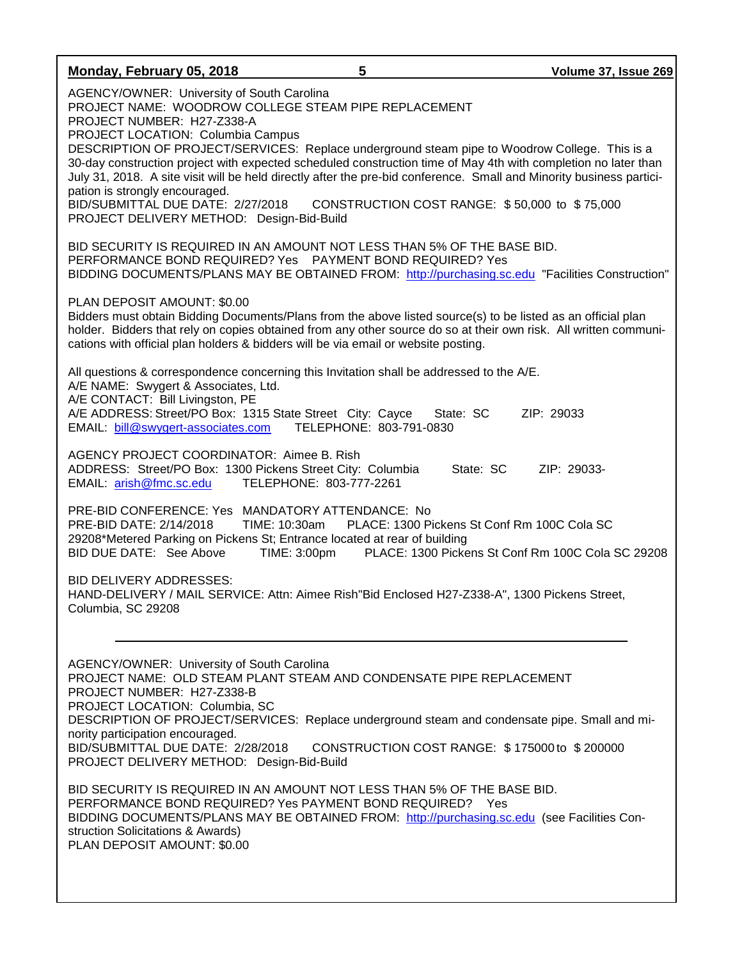| Monday, February 05, 2018                                                                                                                                                                                                                                                                                                                                                                                                                                                                                                                                                                                                                                                                                           | 5                       | Volume 37, Issue 269                                                                                             |
|---------------------------------------------------------------------------------------------------------------------------------------------------------------------------------------------------------------------------------------------------------------------------------------------------------------------------------------------------------------------------------------------------------------------------------------------------------------------------------------------------------------------------------------------------------------------------------------------------------------------------------------------------------------------------------------------------------------------|-------------------------|------------------------------------------------------------------------------------------------------------------|
| AGENCY/OWNER: University of South Carolina<br>PROJECT NAME: WOODROW COLLEGE STEAM PIPE REPLACEMENT<br>PROJECT NUMBER: H27-Z338-A<br>PROJECT LOCATION: Columbia Campus<br>DESCRIPTION OF PROJECT/SERVICES: Replace underground steam pipe to Woodrow College. This is a<br>30-day construction project with expected scheduled construction time of May 4th with completion no later than<br>July 31, 2018. A site visit will be held directly after the pre-bid conference. Small and Minority business partici-<br>pation is strongly encouraged.<br>BID/SUBMITTAL DUE DATE: 2/27/2018<br>PROJECT DELIVERY METHOD: Design-Bid-Build                                                                                |                         | CONSTRUCTION COST RANGE: \$50,000 to \$75,000                                                                    |
| BID SECURITY IS REQUIRED IN AN AMOUNT NOT LESS THAN 5% OF THE BASE BID.<br>PERFORMANCE BOND REQUIRED? Yes  PAYMENT BOND REQUIRED? Yes                                                                                                                                                                                                                                                                                                                                                                                                                                                                                                                                                                               |                         | BIDDING DOCUMENTS/PLANS MAY BE OBTAINED FROM: http://purchasing.sc.edu "Facilities Construction"                 |
| PLAN DEPOSIT AMOUNT: \$0.00<br>Bidders must obtain Bidding Documents/Plans from the above listed source(s) to be listed as an official plan<br>cations with official plan holders & bidders will be via email or website posting.                                                                                                                                                                                                                                                                                                                                                                                                                                                                                   |                         | holder. Bidders that rely on copies obtained from any other source do so at their own risk. All written communi- |
| All questions & correspondence concerning this Invitation shall be addressed to the A/E.<br>A/E NAME: Swygert & Associates, Ltd.<br>A/E CONTACT: Bill Livingston, PE<br>A/E ADDRESS: Street/PO Box: 1315 State Street City: Cayce<br>EMAIL: bill@swygert-associates.com                                                                                                                                                                                                                                                                                                                                                                                                                                             | TELEPHONE: 803-791-0830 | State: SC<br>ZIP: 29033                                                                                          |
| AGENCY PROJECT COORDINATOR: Aimee B. Rish<br>ADDRESS: Street/PO Box: 1300 Pickens Street City: Columbia<br>EMAIL: arish@fmc.sc.edu                                                                                                                                                                                                                                                                                                                                                                                                                                                                                                                                                                                  | TELEPHONE: 803-777-2261 | State: SC<br>ZIP: 29033-                                                                                         |
| PRE-BID CONFERENCE: Yes MANDATORY ATTENDANCE: No<br>PRE-BID DATE: 2/14/2018<br>TIME: 10:30am<br>29208*Metered Parking on Pickens St; Entrance located at rear of building<br>BID DUE DATE: See Above                                                                                                                                                                                                                                                                                                                                                                                                                                                                                                                | TIME: 3:00pm            | PLACE: 1300 Pickens St Conf Rm 100C Cola SC<br>PLACE: 1300 Pickens St Conf Rm 100C Cola SC 29208                 |
| <b>BID DELIVERY ADDRESSES:</b><br>HAND-DELIVERY / MAIL SERVICE: Attn: Aimee Rish"Bid Enclosed H27-Z338-A", 1300 Pickens Street,<br>Columbia, SC 29208                                                                                                                                                                                                                                                                                                                                                                                                                                                                                                                                                               |                         |                                                                                                                  |
| AGENCY/OWNER: University of South Carolina<br>PROJECT NAME: OLD STEAM PLANT STEAM AND CONDENSATE PIPE REPLACEMENT<br>PROJECT NUMBER: H27-Z338-B<br>PROJECT LOCATION: Columbia, SC<br>DESCRIPTION OF PROJECT/SERVICES: Replace underground steam and condensate pipe. Small and mi-<br>nority participation encouraged.<br>BID/SUBMITTAL DUE DATE: 2/28/2018<br>PROJECT DELIVERY METHOD: Design-Bid-Build<br>BID SECURITY IS REQUIRED IN AN AMOUNT NOT LESS THAN 5% OF THE BASE BID.<br>PERFORMANCE BOND REQUIRED? Yes PAYMENT BOND REQUIRED? Yes<br>BIDDING DOCUMENTS/PLANS MAY BE OBTAINED FROM: http://purchasing.sc.edu (see Facilities Con-<br>struction Solicitations & Awards)<br>PLAN DEPOSIT AMOUNT: \$0.00 |                         | CONSTRUCTION COST RANGE: \$175000 to \$200000                                                                    |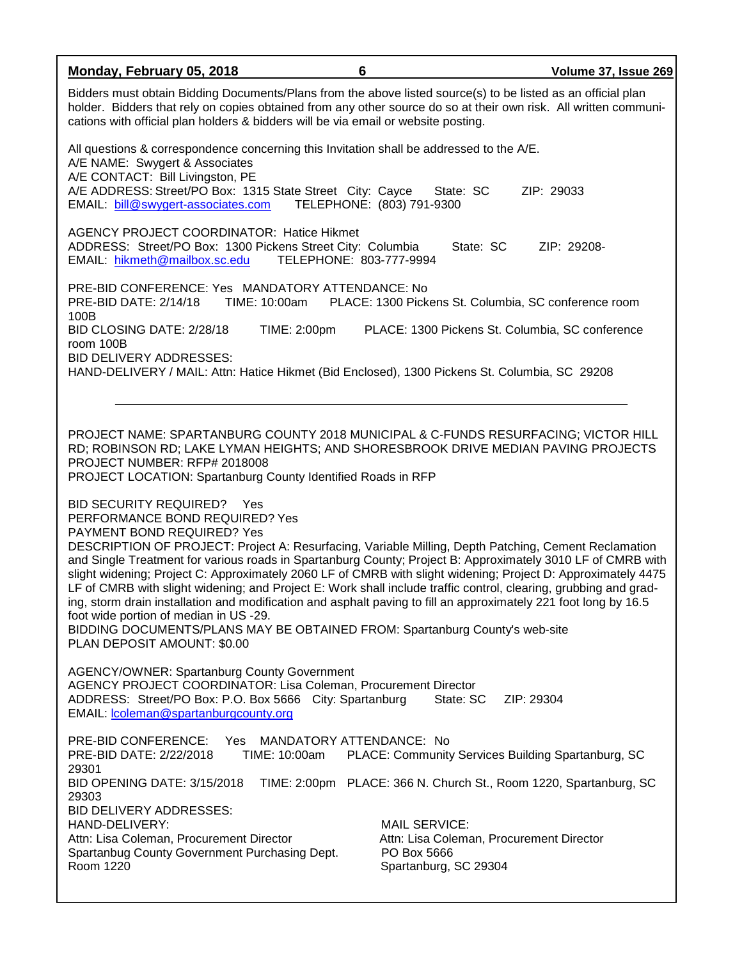| Monday, February 05, 2018                                                                                                                                                                                                                                                                                                                                                                                                                                                                                                                                                                                                                                                                                                                                                                                                          | 6                                   | Volume 37, Issue 269                                                                                                                                                    |  |
|------------------------------------------------------------------------------------------------------------------------------------------------------------------------------------------------------------------------------------------------------------------------------------------------------------------------------------------------------------------------------------------------------------------------------------------------------------------------------------------------------------------------------------------------------------------------------------------------------------------------------------------------------------------------------------------------------------------------------------------------------------------------------------------------------------------------------------|-------------------------------------|-------------------------------------------------------------------------------------------------------------------------------------------------------------------------|--|
| Bidders must obtain Bidding Documents/Plans from the above listed source(s) to be listed as an official plan<br>holder. Bidders that rely on copies obtained from any other source do so at their own risk. All written communi-<br>cations with official plan holders & bidders will be via email or website posting.                                                                                                                                                                                                                                                                                                                                                                                                                                                                                                             |                                     |                                                                                                                                                                         |  |
| All questions & correspondence concerning this Invitation shall be addressed to the A/E.<br>A/E NAME: Swygert & Associates<br>A/E CONTACT: Bill Livingston, PE<br>A/E ADDRESS: Street/PO Box: 1315 State Street City: Cayce<br>EMAIL: bill@swygert-associates.com                                                                                                                                                                                                                                                                                                                                                                                                                                                                                                                                                                  | TELEPHONE: (803) 791-9300           | State: SC<br>ZIP: 29033                                                                                                                                                 |  |
| <b>AGENCY PROJECT COORDINATOR: Hatice Hikmet</b><br>ADDRESS: Street/PO Box: 1300 Pickens Street City: Columbia<br>EMAIL: hikmeth@mailbox.sc.edu                                                                                                                                                                                                                                                                                                                                                                                                                                                                                                                                                                                                                                                                                    | TELEPHONE: 803-777-9994             | State: SC<br>ZIP: 29208-                                                                                                                                                |  |
| PRE-BID CONFERENCE: Yes MANDATORY ATTENDANCE: No<br>PRE-BID DATE: 2/14/18<br>100B                                                                                                                                                                                                                                                                                                                                                                                                                                                                                                                                                                                                                                                                                                                                                  |                                     | TIME: 10:00am PLACE: 1300 Pickens St. Columbia, SC conference room                                                                                                      |  |
| BID CLOSING DATE: 2/28/18<br>room 100B<br><b>BID DELIVERY ADDRESSES:</b><br>HAND-DELIVERY / MAIL: Attn: Hatice Hikmet (Bid Enclosed), 1300 Pickens St. Columbia, SC 29208                                                                                                                                                                                                                                                                                                                                                                                                                                                                                                                                                                                                                                                          | TIME: 2:00pm                        | PLACE: 1300 Pickens St. Columbia, SC conference                                                                                                                         |  |
|                                                                                                                                                                                                                                                                                                                                                                                                                                                                                                                                                                                                                                                                                                                                                                                                                                    |                                     |                                                                                                                                                                         |  |
| PROJECT NUMBER: RFP# 2018008<br>PROJECT LOCATION: Spartanburg County Identified Roads in RFP                                                                                                                                                                                                                                                                                                                                                                                                                                                                                                                                                                                                                                                                                                                                       |                                     | PROJECT NAME: SPARTANBURG COUNTY 2018 MUNICIPAL & C-FUNDS RESURFACING; VICTOR HILL<br>RD; ROBINSON RD; LAKE LYMAN HEIGHTS; AND SHORESBROOK DRIVE MEDIAN PAVING PROJECTS |  |
| BID SECURITY REQUIRED? Yes<br>PERFORMANCE BOND REQUIRED? Yes<br>PAYMENT BOND REQUIRED? Yes<br>DESCRIPTION OF PROJECT: Project A: Resurfacing, Variable Milling, Depth Patching, Cement Reclamation<br>and Single Treatment for various roads in Spartanburg County; Project B: Approximately 3010 LF of CMRB with<br>slight widening; Project C: Approximately 2060 LF of CMRB with slight widening; Project D: Approximately 4475<br>LF of CMRB with slight widening; and Project E: Work shall include traffic control, clearing, grubbing and grad-<br>ing, storm drain installation and modification and asphalt paving to fill an approximately 221 foot long by 16.5<br>foot wide portion of median in US -29.<br>BIDDING DOCUMENTS/PLANS MAY BE OBTAINED FROM: Spartanburg County's web-site<br>PLAN DEPOSIT AMOUNT: \$0.00 |                                     |                                                                                                                                                                         |  |
| <b>AGENCY/OWNER: Spartanburg County Government</b><br>AGENCY PROJECT COORDINATOR: Lisa Coleman, Procurement Director<br>ADDRESS: Street/PO Box: P.O. Box 5666 City: Spartanburg<br>State: SC<br>ZIP: 29304<br>EMAIL: <i>coleman@spartanburgcounty.org</i>                                                                                                                                                                                                                                                                                                                                                                                                                                                                                                                                                                          |                                     |                                                                                                                                                                         |  |
| PRE-BID CONFERENCE:<br>PRE-BID DATE: 2/22/2018<br>TIME: 10:00am<br>29301                                                                                                                                                                                                                                                                                                                                                                                                                                                                                                                                                                                                                                                                                                                                                           | Yes MANDATORY ATTENDANCE: No        | PLACE: Community Services Building Spartanburg, SC                                                                                                                      |  |
| BID OPENING DATE: 3/15/2018<br>29303                                                                                                                                                                                                                                                                                                                                                                                                                                                                                                                                                                                                                                                                                                                                                                                               |                                     | TIME: 2:00pm PLACE: 366 N. Church St., Room 1220, Spartanburg, SC                                                                                                       |  |
| <b>BID DELIVERY ADDRESSES:</b><br>HAND-DELIVERY:<br>Attn: Lisa Coleman, Procurement Director<br>Spartanbug County Government Purchasing Dept.<br>Room 1220                                                                                                                                                                                                                                                                                                                                                                                                                                                                                                                                                                                                                                                                         | <b>MAIL SERVICE:</b><br>PO Box 5666 | Attn: Lisa Coleman, Procurement Director<br>Spartanburg, SC 29304                                                                                                       |  |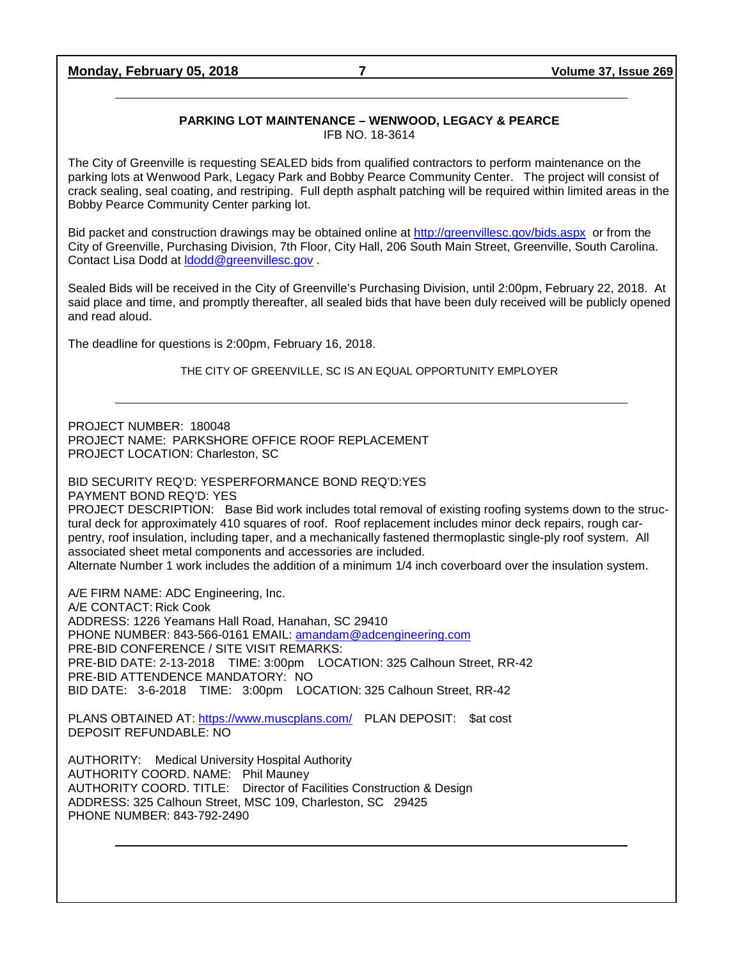**Monday, February 05, 2018 7 Volume 37, Issue 269**

#### **PARKING LOT MAINTENANCE – WENWOOD, LEGACY & PEARCE** IFB NO. 18-3614

The City of Greenville is requesting SEALED bids from qualified contractors to perform maintenance on the parking lots at Wenwood Park, Legacy Park and Bobby Pearce Community Center. The project will consist of crack sealing, seal coating, and restriping. Full depth asphalt patching will be required within limited areas in the Bobby Pearce Community Center parking lot.

Bid packet and construction drawings may be obtained online at<http://greenvillesc.gov/bids.aspx> or from the City of Greenville, Purchasing Division, 7th Floor, City Hall, 206 South Main Street, Greenville, South Carolina. Contact Lisa Dodd at Idodd@greenvillesc.gov

Sealed Bids will be received in the City of Greenville's Purchasing Division, until 2:00pm, February 22, 2018. At said place and time, and promptly thereafter, all sealed bids that have been duly received will be publicly opened and read aloud.

The deadline for questions is 2:00pm, February 16, 2018.

THE CITY OF GREENVILLE, SC IS AN EQUAL OPPORTUNITY EMPLOYER

PROJECT NUMBER: 180048 PROJECT NAME: PARKSHORE OFFICE ROOF REPLACEMENT PROJECT LOCATION: Charleston, SC

BID SECURITY REQ'D: YESPERFORMANCE BOND REQ'D:YES

PAYMENT BOND REQ'D: YES PROJECT DESCRIPTION: Base Bid work includes total removal of existing roofing systems down to the structural deck for approximately 410 squares of roof. Roof replacement includes minor deck repairs, rough carpentry, roof insulation, including taper, and a mechanically fastened thermoplastic single-ply roof system. All associated sheet metal components and accessories are included.

Alternate Number 1 work includes the addition of a minimum 1/4 inch coverboard over the insulation system.

A/E FIRM NAME: ADC Engineering, Inc. A/E CONTACT: Rick Cook ADDRESS: 1226 Yeamans Hall Road, Hanahan, SC 29410 PHONE NUMBER: 843-566-0161 EMAIL: [amandam@adcengineering.com](mailto:amandam@adcengineering.com) PRE-BID CONFERENCE / SITE VISIT REMARKS: PRE-BID DATE: 2-13-2018 TIME: 3:00pm LOCATION: 325 Calhoun Street, RR-42 PRE-BID ATTENDENCE MANDATORY: NO BID DATE: 3-6-2018 TIME: 3:00pm LOCATION: 325 Calhoun Street, RR-42

PLANS OBTAINED AT: <https://www.muscplans.com/> PLAN DEPOSIT: \$at cost DEPOSIT REFUNDABLE: NO

AUTHORITY: Medical University Hospital Authority AUTHORITY COORD. NAME: Phil Mauney AUTHORITY COORD. TITLE: Director of Facilities Construction & Design ADDRESS: 325 Calhoun Street, MSC 109, Charleston, SC 29425 PHONE NUMBER: 843-792-2490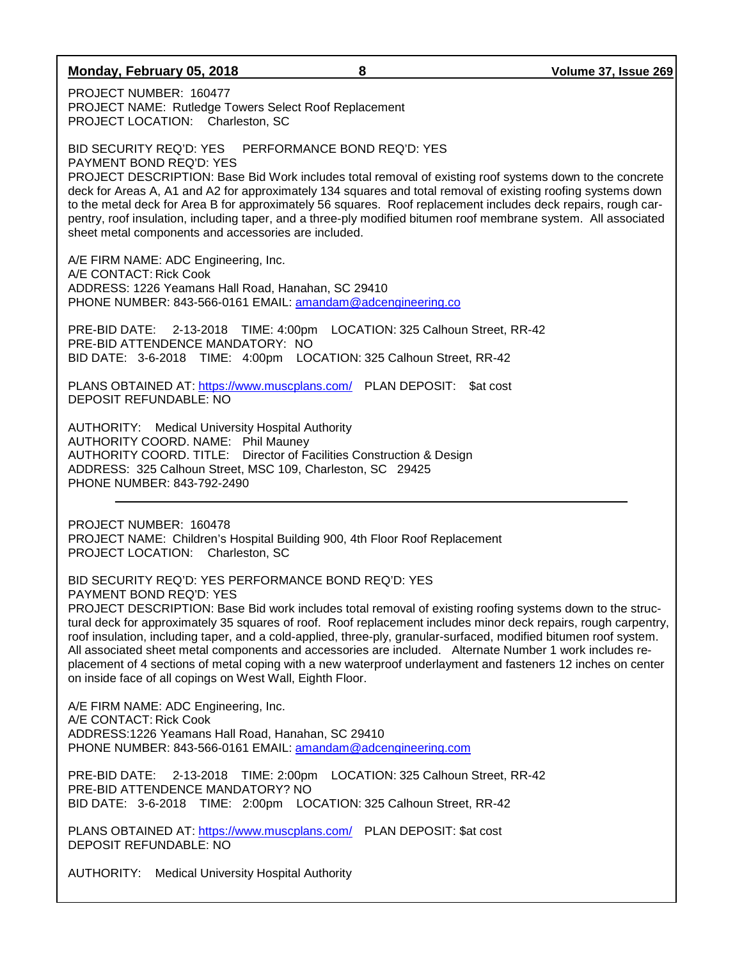### **Monday, February 05, 2018 8 Volume 37, Issue 269**

PROJECT NUMBER: 160477 PROJECT NAME: Rutledge Towers Select Roof Replacement PROJECT LOCATION: Charleston, SC

BID SECURITY REQ'D: YES PERFORMANCE BOND REQ'D: YES PAYMENT BOND REQ'D: YES PROJECT DESCRIPTION: Base Bid Work includes total removal of existing roof systems down to the concrete deck for Areas A, A1 and A2 for approximately 134 squares and total removal of existing roofing systems down to the metal deck for Area B for approximately 56 squares. Roof replacement includes deck repairs, rough carpentry, roof insulation, including taper, and a three-ply modified bitumen roof membrane system. All associated sheet metal components and accessories are included.

A/E FIRM NAME: ADC Engineering, Inc. A/E CONTACT: Rick Cook ADDRESS: 1226 Yeamans Hall Road, Hanahan, SC 29410 PHONE NUMBER: 843-566-0161 EMAIL: [amandam@adcengineering.co](mailto:amandam@adcengineering.co)

PRE-BID DATE: 2-13-2018 TIME: 4:00pm LOCATION: 325 Calhoun Street, RR-42 PRE-BID ATTENDENCE MANDATORY: NO BID DATE: 3-6-2018 TIME: 4:00pm LOCATION: 325 Calhoun Street, RR-42

PLANS OBTAINED AT: <https://www.muscplans.com/> PLAN DEPOSIT: \$at cost DEPOSIT REFUNDABLE: NO

AUTHORITY: Medical University Hospital Authority AUTHORITY COORD. NAME: Phil Mauney AUTHORITY COORD. TITLE: Director of Facilities Construction & Design ADDRESS: 325 Calhoun Street, MSC 109, Charleston, SC 29425 PHONE NUMBER: 843-792-2490

PROJECT NUMBER: 160478 PROJECT NAME: Children's Hospital Building 900, 4th Floor Roof Replacement PROJECT LOCATION: Charleston, SC

BID SECURITY REQ'D: YES PERFORMANCE BOND REQ'D: YES PAYMENT BOND REQ'D: YES

PROJECT DESCRIPTION: Base Bid work includes total removal of existing roofing systems down to the structural deck for approximately 35 squares of roof. Roof replacement includes minor deck repairs, rough carpentry, roof insulation, including taper, and a cold-applied, three-ply, granular-surfaced, modified bitumen roof system. All associated sheet metal components and accessories are included. Alternate Number 1 work includes replacement of 4 sections of metal coping with a new waterproof underlayment and fasteners 12 inches on center on inside face of all copings on West Wall, Eighth Floor.

A/E FIRM NAME: ADC Engineering, Inc. A/E CONTACT: Rick Cook ADDRESS:1226 Yeamans Hall Road, Hanahan, SC 29410 PHONE NUMBER: 843-566-0161 EMAIL: [amandam@adcengineering.com](mailto:amandam@adcengineering.com)

PRE-BID DATE: 2-13-2018 TIME: 2:00pm LOCATION: 325 Calhoun Street, RR-42 PRE-BID ATTENDENCE MANDATORY? NO BID DATE: 3-6-2018 TIME: 2:00pm LOCATION: 325 Calhoun Street, RR-42

PLANS OBTAINED AT:<https://www.muscplans.com/> PLAN DEPOSIT: \$at cost DEPOSIT REFUNDABLE: NO

AUTHORITY: Medical University Hospital Authority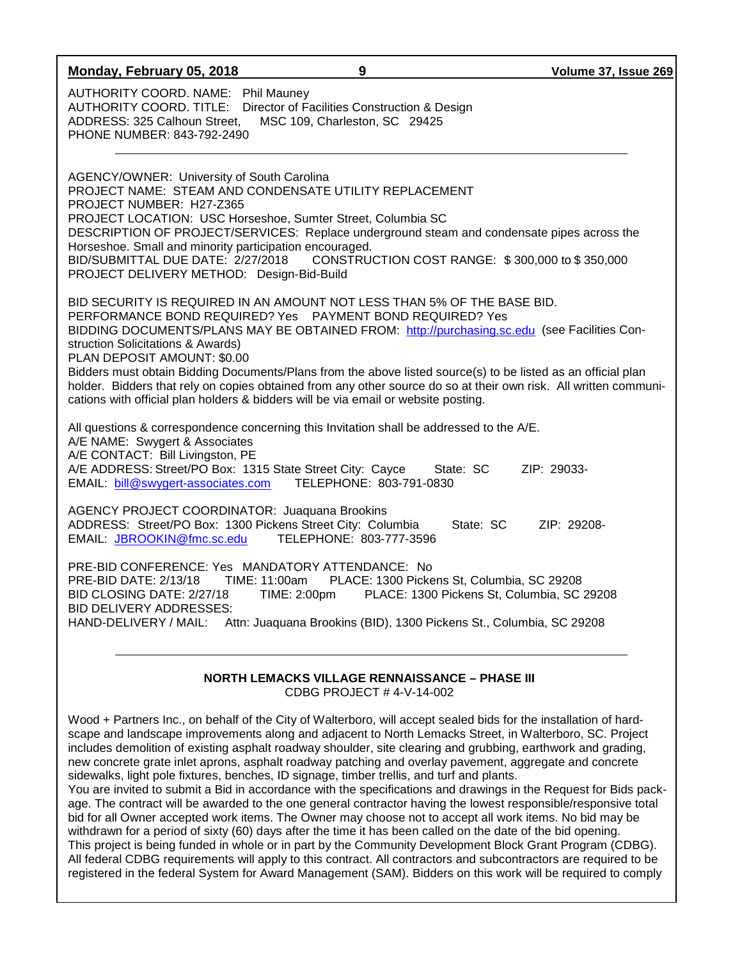| Monday, February 05, 2018                                                                                                                                                                                                                                                                               | 9                                                                                                                                                                                                                                                                                                                                                                                                                                                                                                                                                              | Volume 37, Issue 269                       |
|---------------------------------------------------------------------------------------------------------------------------------------------------------------------------------------------------------------------------------------------------------------------------------------------------------|----------------------------------------------------------------------------------------------------------------------------------------------------------------------------------------------------------------------------------------------------------------------------------------------------------------------------------------------------------------------------------------------------------------------------------------------------------------------------------------------------------------------------------------------------------------|--------------------------------------------|
| AUTHORITY COORD. NAME: Phil Mauney<br>AUTHORITY COORD. TITLE: Director of Facilities Construction & Design<br>ADDRESS: 325 Calhoun Street,<br>PHONE NUMBER: 843-792-2490                                                                                                                                | MSC 109, Charleston, SC 29425                                                                                                                                                                                                                                                                                                                                                                                                                                                                                                                                  |                                            |
| AGENCY/OWNER: University of South Carolina<br>PROJECT NAME: STEAM AND CONDENSATE UTILITY REPLACEMENT<br>PROJECT NUMBER: H27-Z365<br>PROJECT LOCATION: USC Horseshoe, Sumter Street, Columbia SC<br>Horseshoe. Small and minority participation encouraged.<br>PROJECT DELIVERY METHOD: Design-Bid-Build | DESCRIPTION OF PROJECT/SERVICES: Replace underground steam and condensate pipes across the<br>BID/SUBMITTAL DUE DATE: 2/27/2018 CONSTRUCTION COST RANGE: \$300,000 to \$350,000                                                                                                                                                                                                                                                                                                                                                                                |                                            |
| struction Solicitations & Awards)<br>PLAN DEPOSIT AMOUNT: \$0.00                                                                                                                                                                                                                                        | BID SECURITY IS REQUIRED IN AN AMOUNT NOT LESS THAN 5% OF THE BASE BID.<br>PERFORMANCE BOND REQUIRED? Yes  PAYMENT BOND REQUIRED? Yes<br>BIDDING DOCUMENTS/PLANS MAY BE OBTAINED FROM: http://purchasing.sc.edu (see Facilities Con-<br>Bidders must obtain Bidding Documents/Plans from the above listed source(s) to be listed as an official plan<br>holder. Bidders that rely on copies obtained from any other source do so at their own risk. All written communi-<br>cations with official plan holders & bidders will be via email or website posting. |                                            |
| A/E NAME: Swygert & Associates<br>A/E CONTACT: Bill Livingston, PE<br>A/E ADDRESS: Street/PO Box: 1315 State Street City: Cayce<br>EMAIL: bill@swygert-associates.com TELEPHONE: 803-791-0830                                                                                                           | All questions & correspondence concerning this Invitation shall be addressed to the A/E.<br>State: SC                                                                                                                                                                                                                                                                                                                                                                                                                                                          | ZIP: 29033-                                |
| <b>AGENCY PROJECT COORDINATOR: Juaquana Brookins</b><br>ADDRESS: Street/PO Box: 1300 Pickens Street City: Columbia<br>EMAIL: JBROOKIN@fmc.sc.edu                                                                                                                                                        | State: SC<br>TELEPHONE: 803-777-3596                                                                                                                                                                                                                                                                                                                                                                                                                                                                                                                           | ZIP: 29208-                                |
| PRE-BID CONFERENCE: Yes MANDATORY ATTENDANCE: No<br>PRE-BID DATE: 2/13/18 TIME: 11:00am<br>BID CLOSING DATE: 2/27/18<br><b>BID DELIVERY ADDRESSES:</b><br>HAND-DELIVERY / MAIL:                                                                                                                         | PLACE: 1300 Pickens St, Columbia, SC 29208<br>TIME: 2:00pm<br>Attn: Juaquana Brookins (BID), 1300 Pickens St., Columbia, SC 29208                                                                                                                                                                                                                                                                                                                                                                                                                              | PLACE: 1300 Pickens St, Columbia, SC 29208 |
| <b>NORTH LEMACKS VILLAGE RENNAISSANCE - PHASE III</b><br>CDBG PROJECT #4-V-14-002                                                                                                                                                                                                                       |                                                                                                                                                                                                                                                                                                                                                                                                                                                                                                                                                                |                                            |
|                                                                                                                                                                                                                                                                                                         | Wood + Partners Inc., on behalf of the City of Walterboro, will accept sealed bids for the installation of hard-                                                                                                                                                                                                                                                                                                                                                                                                                                               |                                            |

scape and landscape improvements along and adjacent to North Lemacks Street, in Walterboro, SC. Project includes demolition of existing asphalt roadway shoulder, site clearing and grubbing, earthwork and grading, new concrete grate inlet aprons, asphalt roadway patching and overlay pavement, aggregate and concrete sidewalks, light pole fixtures, benches, ID signage, timber trellis, and turf and plants.

You are invited to submit a Bid in accordance with the specifications and drawings in the Request for Bids package. The contract will be awarded to the one general contractor having the lowest responsible/responsive total bid for all Owner accepted work items. The Owner may choose not to accept all work items. No bid may be withdrawn for a period of sixty (60) days after the time it has been called on the date of the bid opening. This project is being funded in whole or in part by the Community Development Block Grant Program (CDBG). All federal CDBG requirements will apply to this contract. All contractors and subcontractors are required to be registered in the federal System for Award Management (SAM). Bidders on this work will be required to comply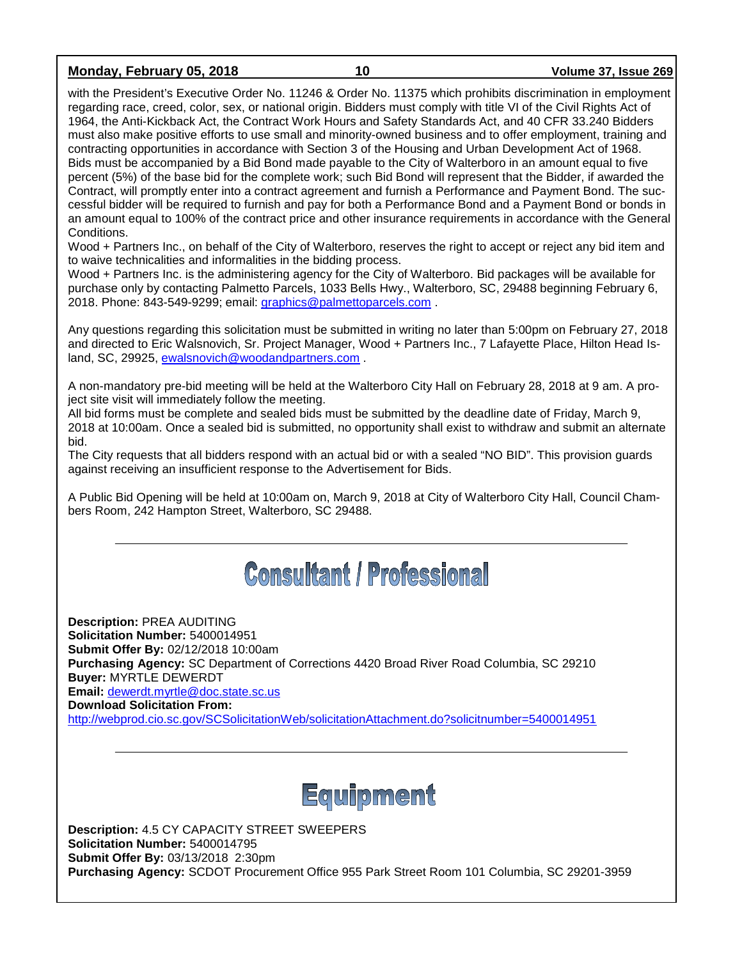## **Monday, February 05, 2018 10 Volume 37, Issue 269**

with the President's Executive Order No. 11246 & Order No. 11375 which prohibits discrimination in employment regarding race, creed, color, sex, or national origin. Bidders must comply with title VI of the Civil Rights Act of 1964, the Anti-Kickback Act, the Contract Work Hours and Safety Standards Act, and 40 CFR 33.240 Bidders must also make positive efforts to use small and minority-owned business and to offer employment, training and contracting opportunities in accordance with Section 3 of the Housing and Urban Development Act of 1968. Bids must be accompanied by a Bid Bond made payable to the City of Walterboro in an amount equal to five percent (5%) of the base bid for the complete work; such Bid Bond will represent that the Bidder, if awarded the Contract, will promptly enter into a contract agreement and furnish a Performance and Payment Bond. The successful bidder will be required to furnish and pay for both a Performance Bond and a Payment Bond or bonds in an amount equal to 100% of the contract price and other insurance requirements in accordance with the General Conditions.

Wood + Partners Inc., on behalf of the City of Walterboro, reserves the right to accept or reject any bid item and to waive technicalities and informalities in the bidding process.

Wood + Partners Inc. is the administering agency for the City of Walterboro. Bid packages will be available for purchase only by contacting Palmetto Parcels, 1033 Bells Hwy., Walterboro, SC, 29488 beginning February 6, 2018. Phone: 843-549-9299; email: [graphics@palmettoparcels.com](mailto:graphics@palmettoparcels.com) .

Any questions regarding this solicitation must be submitted in writing no later than 5:00pm on February 27, 2018 and directed to Eric Walsnovich, Sr. Project Manager, Wood + Partners Inc., 7 Lafayette Place, Hilton Head Island, SC, 29925, [ewalsnovich@woodandpartners.com](mailto:ewalsnovich@woodandpartners.com) .

A non-mandatory pre-bid meeting will be held at the Walterboro City Hall on February 28, 2018 at 9 am. A project site visit will immediately follow the meeting.

All bid forms must be complete and sealed bids must be submitted by the deadline date of Friday, March 9, 2018 at 10:00am. Once a sealed bid is submitted, no opportunity shall exist to withdraw and submit an alternate bid.

The City requests that all bidders respond with an actual bid or with a sealed "NO BID". This provision guards against receiving an insufficient response to the Advertisement for Bids.

A Public Bid Opening will be held at 10:00am on, March 9, 2018 at City of Walterboro City Hall, Council Chambers Room, 242 Hampton Street, Walterboro, SC 29488.

# **Consultant / Professional**

**Description:** PREA AUDITING **Solicitation Number:** 5400014951 **Submit Offer By:** 02/12/2018 10:00am **Purchasing Agency:** SC Department of Corrections 4420 Broad River Road Columbia, SC 29210 **Buyer:** MYRTLE DEWERDT **Email:** [dewerdt.myrtle@doc.state.sc.us](mailto:dewerdt.myrtle@doc.state.sc.us) **Download Solicitation From:**  <http://webprod.cio.sc.gov/SCSolicitationWeb/solicitationAttachment.do?solicitnumber=5400014951>



**Description:** 4.5 CY CAPACITY STREET SWEEPERS **Solicitation Number:** 5400014795 **Submit Offer By:** 03/13/2018 2:30pm **Purchasing Agency:** SCDOT Procurement Office 955 Park Street Room 101 Columbia, SC 29201-3959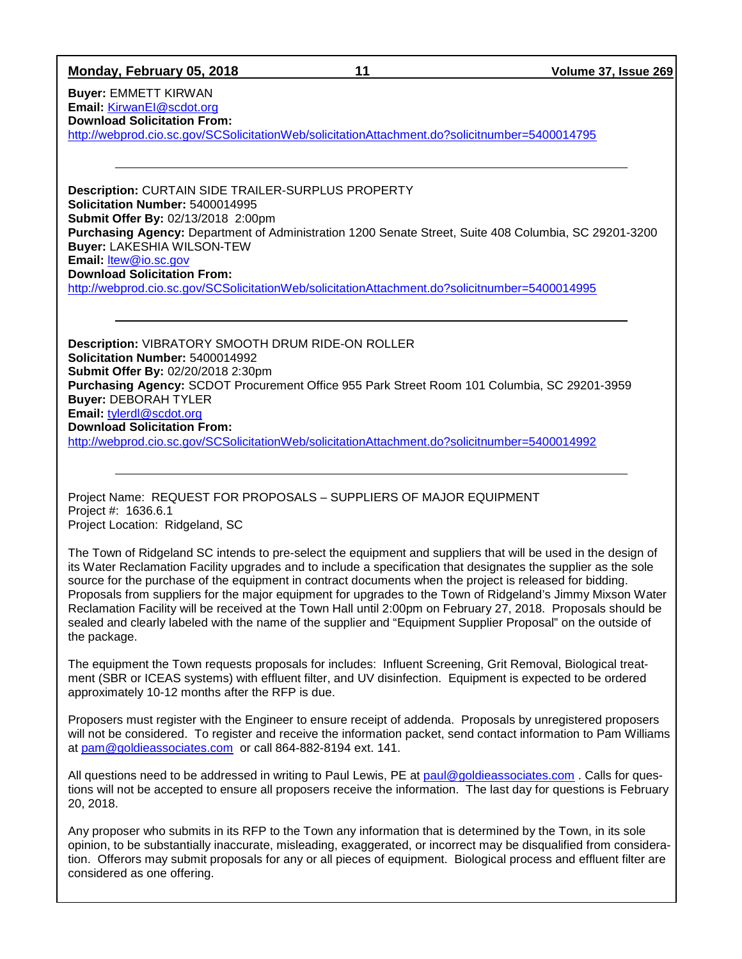### **Monday, February 05, 2018 11 Volume 37, Issue 269**

**Buyer:** EMMETT KIRWAN **Email:** [KirwanEI@scdot.org](mailto:KirwanEI@scdot.org) **Download Solicitation From:** 

<http://webprod.cio.sc.gov/SCSolicitationWeb/solicitationAttachment.do?solicitnumber=5400014795>

**Description:** CURTAIN SIDE TRAILER-SURPLUS PROPERTY **Solicitation Number:** 5400014995 **Submit Offer By:** 02/13/2018 2:00pm **Purchasing Agency:** Department of Administration 1200 Senate Street, Suite 408 Columbia, SC 29201-3200 **Buyer:** LAKESHIA WILSON-TEW **Email:** [ltew@io.sc.gov](mailto:ltew@io.sc.gov) **Download Solicitation From:**  <http://webprod.cio.sc.gov/SCSolicitationWeb/solicitationAttachment.do?solicitnumber=5400014995>

**Description:** VIBRATORY SMOOTH DRUM RIDE-ON ROLLER **Solicitation Number:** 5400014992 **Submit Offer By:** 02/20/2018 2:30pm **Purchasing Agency:** SCDOT Procurement Office 955 Park Street Room 101 Columbia, SC 29201-3959 **Buyer:** DEBORAH TYLER **Email:** [tylerdl@scdot.org](mailto:tylerdl@scdot.org) **Download Solicitation From:**  <http://webprod.cio.sc.gov/SCSolicitationWeb/solicitationAttachment.do?solicitnumber=5400014992>

Project Name: REQUEST FOR PROPOSALS – SUPPLIERS OF MAJOR EQUIPMENT Project #: 1636.6.1 Project Location: Ridgeland, SC

The Town of Ridgeland SC intends to pre-select the equipment and suppliers that will be used in the design of its Water Reclamation Facility upgrades and to include a specification that designates the supplier as the sole source for the purchase of the equipment in contract documents when the project is released for bidding. Proposals from suppliers for the major equipment for upgrades to the Town of Ridgeland's Jimmy Mixson Water Reclamation Facility will be received at the Town Hall until 2:00pm on February 27, 2018. Proposals should be sealed and clearly labeled with the name of the supplier and "Equipment Supplier Proposal" on the outside of the package.

The equipment the Town requests proposals for includes: Influent Screening, Grit Removal, Biological treatment (SBR or ICEAS systems) with effluent filter, and UV disinfection. Equipment is expected to be ordered approximately 10-12 months after the RFP is due.

Proposers must register with the Engineer to ensure receipt of addenda. Proposals by unregistered proposers will not be considered. To register and receive the information packet, send contact information to Pam Williams at [pam@goldieassociates.com](mailto:pam@goldieassociates.com) or call 864-882-8194 ext. 141.

All questions need to be addressed in writing to Paul Lewis, PE at [paul@goldieassociates.com](mailto:paul@goldieassociates.com) . Calls for questions will not be accepted to ensure all proposers receive the information. The last day for questions is February 20, 2018.

Any proposer who submits in its RFP to the Town any information that is determined by the Town, in its sole opinion, to be substantially inaccurate, misleading, exaggerated, or incorrect may be disqualified from consideration. Offerors may submit proposals for any or all pieces of equipment. Biological process and effluent filter are considered as one offering.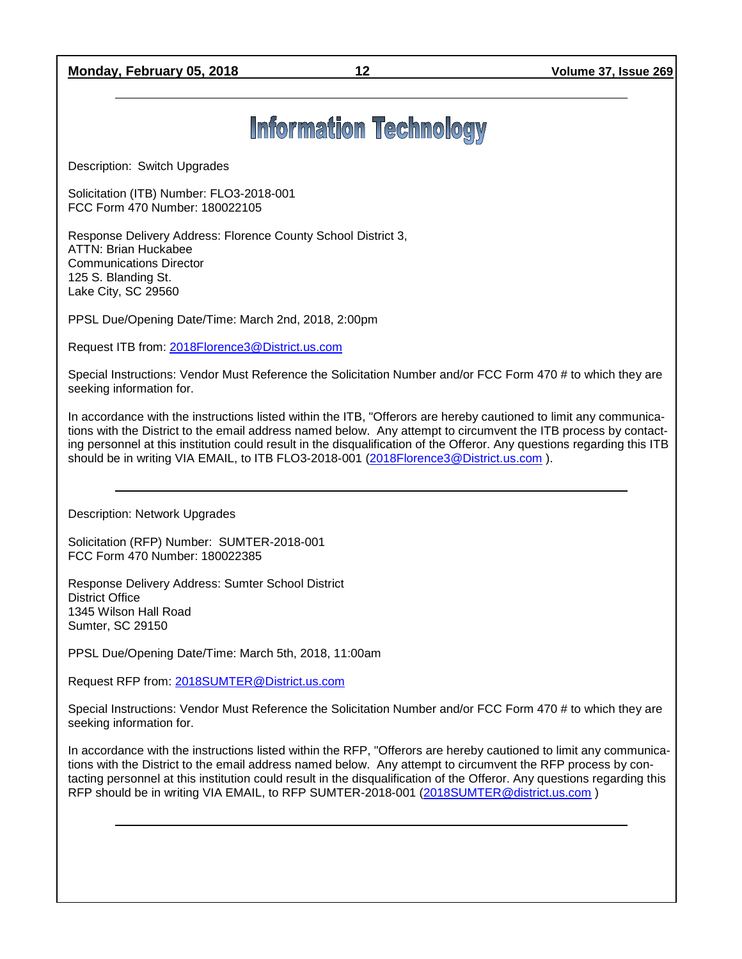## **Monday, February 05, 2018 12 Volume 37, Issue 269**

# **Information Technology**

Description: Switch Upgrades

Solicitation (ITB) Number: FLO3-2018-001 FCC Form 470 Number: 180022105

Response Delivery Address: Florence County School District 3, ATTN: Brian Huckabee Communications Director 125 S. Blanding St. Lake City, SC 29560

PPSL Due/Opening Date/Time: March 2nd, 2018, 2:00pm

Request ITB from: [2018Florence3@District.us.com](mailto:2018Florence3@District.us.com)

Special Instructions: Vendor Must Reference the Solicitation Number and/or FCC Form 470 # to which they are seeking information for.

In accordance with the instructions listed within the ITB, "Offerors are hereby cautioned to limit any communications with the District to the email address named below. Any attempt to circumvent the ITB process by contacting personnel at this institution could result in the disqualification of the Offeror. Any questions regarding this ITB should be in writing VIA EMAIL, to ITB FLO3-2018-001 [\(2018Florence3@District.us.com](mailto:2018Florence3@District.us.com)).

Description: Network Upgrades

Solicitation (RFP) Number: SUMTER-2018-001 FCC Form 470 Number: 180022385

Response Delivery Address: Sumter School District District Office 1345 Wilson Hall Road Sumter, SC 29150

PPSL Due/Opening Date/Time: March 5th, 2018, 11:00am

Request RFP from: [2018SUMTER@District.us.com](mailto:2018SUMTER@District.us.com)

Special Instructions: Vendor Must Reference the Solicitation Number and/or FCC Form 470 # to which they are seeking information for.

In accordance with the instructions listed within the RFP, "Offerors are hereby cautioned to limit any communications with the District to the email address named below. Any attempt to circumvent the RFP process by contacting personnel at this institution could result in the disqualification of the Offeror. Any questions regarding this RFP should be in writing VIA EMAIL, to RFP SUMTER-2018-001 [\(2018SUMTER@district.us.com](mailto:2018SUMTER@district.us.com) )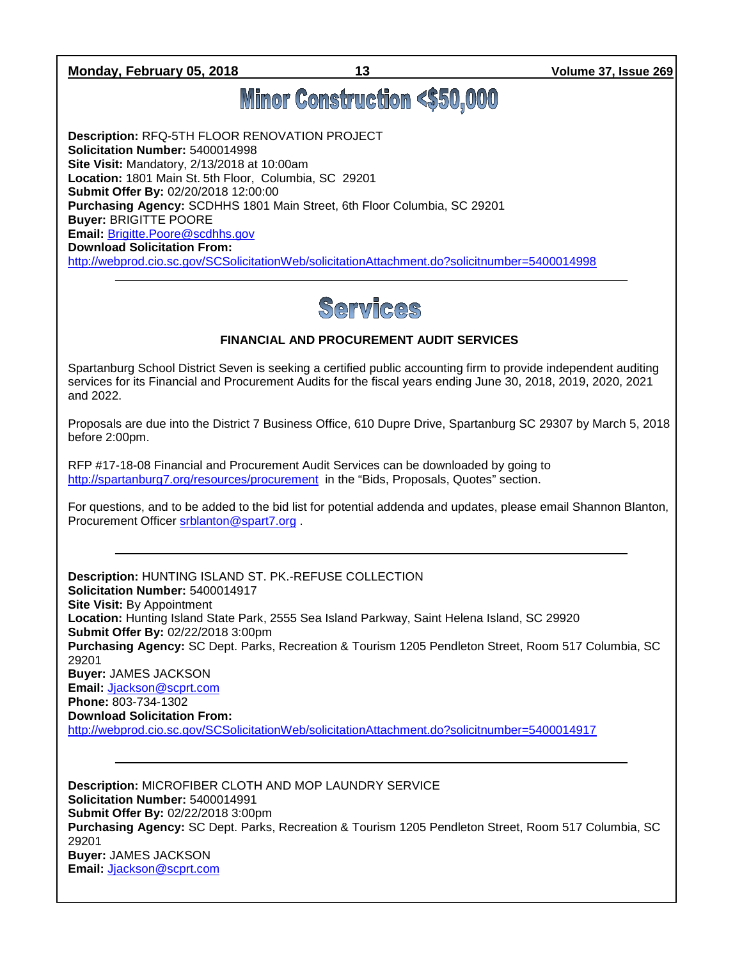**Monday, February 05, 2018 13 Volume 37, Issue 269**

# **Minor Construction <\$50,000**

**Description:** RFQ-5TH FLOOR RENOVATION PROJECT **Solicitation Number:** 5400014998 **Site Visit:** Mandatory, 2/13/2018 at 10:00am **Location:** 1801 Main St. 5th Floor, Columbia, SC 29201 **Submit Offer By:** 02/20/2018 12:00:00 **Purchasing Agency:** SCDHHS 1801 Main Street, 6th Floor Columbia, SC 29201 **Buyer:** BRIGITTE POORE **Email:** [Brigitte.Poore@scdhhs.gov](mailto:Brigitte.Poore@scdhhs.gov) **Download Solicitation From:**  <http://webprod.cio.sc.gov/SCSolicitationWeb/solicitationAttachment.do?solicitnumber=5400014998>



## **FINANCIAL AND PROCUREMENT AUDIT SERVICES**

Spartanburg School District Seven is seeking a certified public accounting firm to provide independent auditing services for its Financial and Procurement Audits for the fiscal years ending June 30, 2018, 2019, 2020, 2021 and 2022.

Proposals are due into the District 7 Business Office, 610 Dupre Drive, Spartanburg SC 29307 by March 5, 2018 before 2:00pm.

RFP #17-18-08 Financial and Procurement Audit Services can be downloaded by going to <http://spartanburg7.org/resources/procurement> in the "Bids, Proposals, Quotes" section.

For questions, and to be added to the bid list for potential addenda and updates, please email Shannon Blanton, Procurement Officer [srblanton@spart7.org](mailto:srblanton@spart7.org) .

**Description:** HUNTING ISLAND ST. PK.-REFUSE COLLECTION **Solicitation Number:** 5400014917 **Site Visit:** By Appointment **Location:** Hunting Island State Park, 2555 Sea Island Parkway, Saint Helena Island, SC 29920 **Submit Offer By:** 02/22/2018 3:00pm **Purchasing Agency:** SC Dept. Parks, Recreation & Tourism 1205 Pendleton Street, Room 517 Columbia, SC 29201 **Buyer:** JAMES JACKSON **Email:** [Jjackson@scprt.com](mailto:Jjackson@scprt.com) **Phone:** 803-734-1302 **Download Solicitation From:**  <http://webprod.cio.sc.gov/SCSolicitationWeb/solicitationAttachment.do?solicitnumber=5400014917>

**Description:** MICROFIBER CLOTH AND MOP LAUNDRY SERVICE **Solicitation Number:** 5400014991 **Submit Offer By:** 02/22/2018 3:00pm **Purchasing Agency:** SC Dept. Parks, Recreation & Tourism 1205 Pendleton Street, Room 517 Columbia, SC 29201 **Buyer:** JAMES JACKSON **Email:** [Jjackson@scprt.com](mailto:Jjackson@scprt.com)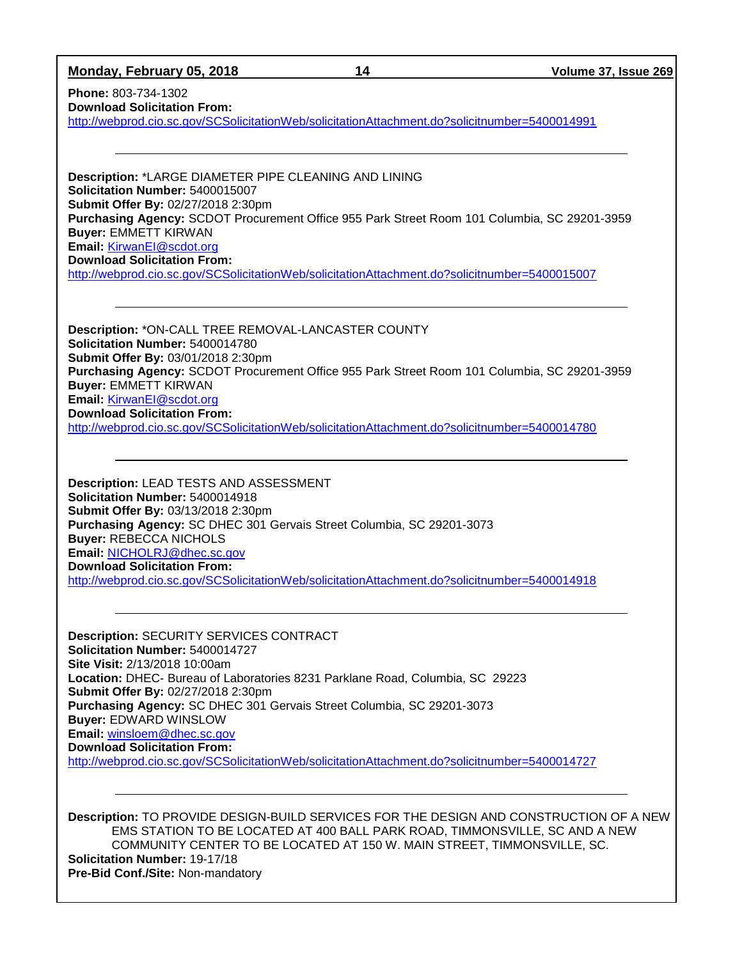| Monday, February 05, 2018 |
|---------------------------|
|---------------------------|

**Monday, February 05, 2018 14 Volume 37, Issue 269**

**Phone:** 803-734-1302 **Download Solicitation From:** 

<http://webprod.cio.sc.gov/SCSolicitationWeb/solicitationAttachment.do?solicitnumber=5400014991>

**Description:** \*LARGE DIAMETER PIPE CLEANING AND LINING **Solicitation Number:** 5400015007 **Submit Offer By:** 02/27/2018 2:30pm **Purchasing Agency:** SCDOT Procurement Office 955 Park Street Room 101 Columbia, SC 29201-3959 **Buyer:** EMMETT KIRWAN **Email:** [KirwanEI@scdot.org](mailto:KirwanEI@scdot.org) **Download Solicitation From:**  <http://webprod.cio.sc.gov/SCSolicitationWeb/solicitationAttachment.do?solicitnumber=5400015007>

**Description:** \*ON-CALL TREE REMOVAL-LANCASTER COUNTY **Solicitation Number:** 5400014780 **Submit Offer By:** 03/01/2018 2:30pm **Purchasing Agency:** SCDOT Procurement Office 955 Park Street Room 101 Columbia, SC 29201-3959 **Buyer:** EMMETT KIRWAN **Email:** [KirwanEI@scdot.org](mailto:KirwanEI@scdot.org) **Download Solicitation From:**  <http://webprod.cio.sc.gov/SCSolicitationWeb/solicitationAttachment.do?solicitnumber=5400014780>

**Description:** LEAD TESTS AND ASSESSMENT **Solicitation Number:** 5400014918 **Submit Offer By:** 03/13/2018 2:30pm **Purchasing Agency:** SC DHEC 301 Gervais Street Columbia, SC 29201-3073 **Buyer:** REBECCA NICHOLS **Email:** [NICHOLRJ@dhec.sc.gov](mailto:NICHOLRJ@dhec.sc.gov) **Download Solicitation From:**  <http://webprod.cio.sc.gov/SCSolicitationWeb/solicitationAttachment.do?solicitnumber=5400014918>

**Description:** SECURITY SERVICES CONTRACT **Solicitation Number:** 5400014727 **Site Visit:** 2/13/2018 10:00am **Location:** DHEC- Bureau of Laboratories 8231 Parklane Road, Columbia, SC 29223 **Submit Offer By:** 02/27/2018 2:30pm **Purchasing Agency:** SC DHEC 301 Gervais Street Columbia, SC 29201-3073 **Buyer:** EDWARD WINSLOW **Email:** [winsloem@dhec.sc.gov](mailto:winsloem@dhec.sc.gov) **Download Solicitation From:**  <http://webprod.cio.sc.gov/SCSolicitationWeb/solicitationAttachment.do?solicitnumber=5400014727>

**Description:** TO PROVIDE DESIGN-BUILD SERVICES FOR THE DESIGN AND CONSTRUCTION OF A NEW EMS STATION TO BE LOCATED AT 400 BALL PARK ROAD, TIMMONSVILLE, SC AND A NEW COMMUNITY CENTER TO BE LOCATED AT 150 W. MAIN STREET, TIMMONSVILLE, SC. **Solicitation Number:** 19-17/18 **Pre-Bid Conf./Site:** Non-mandatory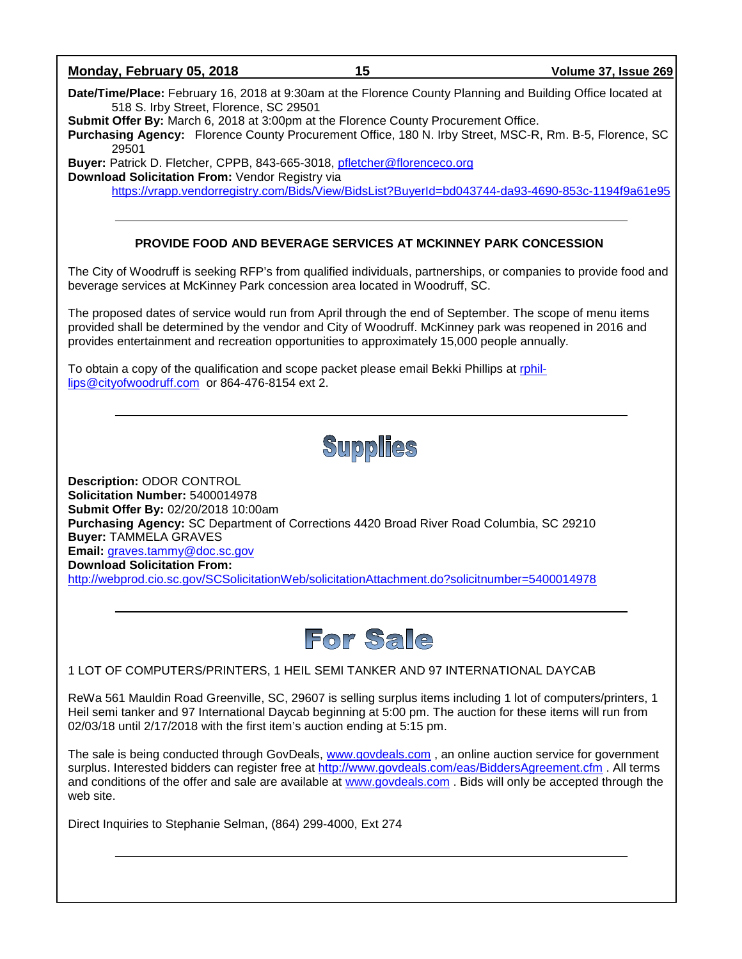

Direct Inquiries to Stephanie Selman, (864) 299-4000, Ext 274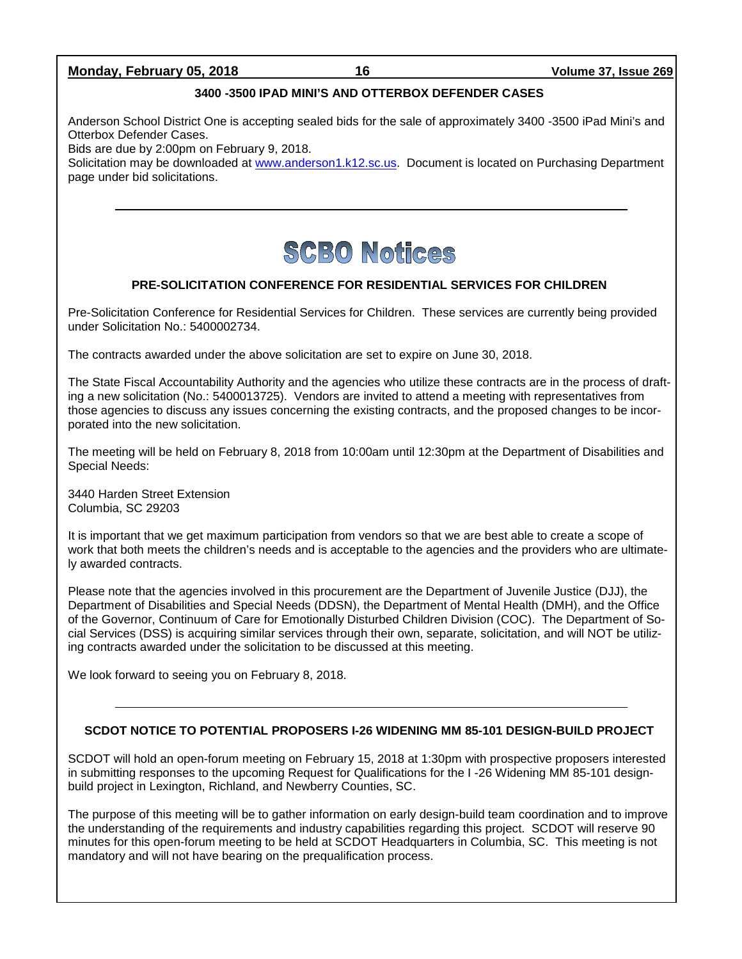## **Monday, February 05, 2018 16 Volume 37, Issue 269**

### **3400 -3500 IPAD MINI'S AND OTTERBOX DEFENDER CASES**

Anderson School District One is accepting sealed bids for the sale of approximately 3400 -3500 iPad Mini's and Otterbox Defender Cases.

Bids are due by 2:00pm on February 9, 2018.

Solicitation may be downloaded at [www.anderson1.k12.sc.us.](http://www.anderson1.k12.sc.us/) Document is located on Purchasing Department page under bid solicitations.



### **PRE-SOLICITATION CONFERENCE FOR RESIDENTIAL SERVICES FOR CHILDREN**

Pre-Solicitation Conference for Residential Services for Children. These services are currently being provided under Solicitation No.: 5400002734.

The contracts awarded under the above solicitation are set to expire on June 30, 2018.

The State Fiscal Accountability Authority and the agencies who utilize these contracts are in the process of drafting a new solicitation (No.: 5400013725). Vendors are invited to attend a meeting with representatives from those agencies to discuss any issues concerning the existing contracts, and the proposed changes to be incorporated into the new solicitation.

The meeting will be held on February 8, 2018 from 10:00am until 12:30pm at the Department of Disabilities and Special Needs:

3440 Harden Street Extension Columbia, SC 29203

It is important that we get maximum participation from vendors so that we are best able to create a scope of work that both meets the children's needs and is acceptable to the agencies and the providers who are ultimately awarded contracts.

Please note that the agencies involved in this procurement are the Department of Juvenile Justice (DJJ), the Department of Disabilities and Special Needs (DDSN), the Department of Mental Health (DMH), and the Office of the Governor, Continuum of Care for Emotionally Disturbed Children Division (COC). The Department of Social Services (DSS) is acquiring similar services through their own, separate, solicitation, and will NOT be utilizing contracts awarded under the solicitation to be discussed at this meeting.

We look forward to seeing you on February 8, 2018.

### **SCDOT NOTICE TO POTENTIAL PROPOSERS I-26 WIDENING MM 85-101 DESIGN-BUILD PROJECT**

SCDOT will hold an open-forum meeting on February 15, 2018 at 1:30pm with prospective proposers interested in submitting responses to the upcoming Request for Qualifications for the I -26 Widening MM 85-101 designbuild project in Lexington, Richland, and Newberry Counties, SC.

The purpose of this meeting will be to gather information on early design-build team coordination and to improve the understanding of the requirements and industry capabilities regarding this project. SCDOT will reserve 90 minutes for this open-forum meeting to be held at SCDOT Headquarters in Columbia, SC. This meeting is not mandatory and will not have bearing on the prequalification process.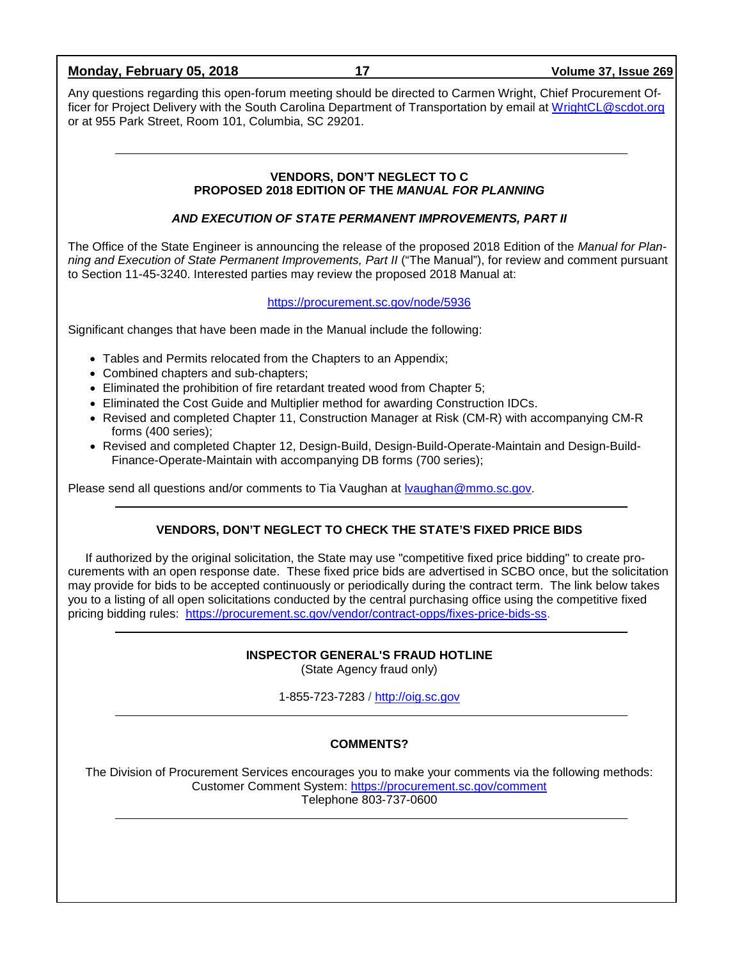| Monday, February 05, 2018                                                                                                                                                                                                                                                                                                                                           | 17                                                                                     | <b>Volume 37, Issue 269</b>                                                                                                                                                                                                      |  |
|---------------------------------------------------------------------------------------------------------------------------------------------------------------------------------------------------------------------------------------------------------------------------------------------------------------------------------------------------------------------|----------------------------------------------------------------------------------------|----------------------------------------------------------------------------------------------------------------------------------------------------------------------------------------------------------------------------------|--|
| Any questions regarding this open-forum meeting should be directed to Carmen Wright, Chief Procurement Of-<br>ficer for Project Delivery with the South Carolina Department of Transportation by email at WrightCL@scdot.org<br>or at 955 Park Street, Room 101, Columbia, SC 29201.                                                                                |                                                                                        |                                                                                                                                                                                                                                  |  |
|                                                                                                                                                                                                                                                                                                                                                                     |                                                                                        |                                                                                                                                                                                                                                  |  |
|                                                                                                                                                                                                                                                                                                                                                                     | <b>VENDORS, DON'T NEGLECT TO C</b><br>PROPOSED 2018 EDITION OF THE MANUAL FOR PLANNING |                                                                                                                                                                                                                                  |  |
|                                                                                                                                                                                                                                                                                                                                                                     | AND EXECUTION OF STATE PERMANENT IMPROVEMENTS, PART II                                 |                                                                                                                                                                                                                                  |  |
| to Section 11-45-3240. Interested parties may review the proposed 2018 Manual at:                                                                                                                                                                                                                                                                                   |                                                                                        | The Office of the State Engineer is announcing the release of the proposed 2018 Edition of the Manual for Plan-<br>ning and Execution of State Permanent Improvements, Part II ("The Manual"), for review and comment pursuant   |  |
|                                                                                                                                                                                                                                                                                                                                                                     | https://procurement.sc.gov/node/5936                                                   |                                                                                                                                                                                                                                  |  |
| Significant changes that have been made in the Manual include the following:                                                                                                                                                                                                                                                                                        |                                                                                        |                                                                                                                                                                                                                                  |  |
| • Tables and Permits relocated from the Chapters to an Appendix;<br>Combined chapters and sub-chapters;<br>Eliminated the prohibition of fire retardant treated wood from Chapter 5;<br>Eliminated the Cost Guide and Multiplier method for awarding Construction IDCs.<br>forms (400 series);<br>Finance-Operate-Maintain with accompanying DB forms (700 series); |                                                                                        | • Revised and completed Chapter 11, Construction Manager at Risk (CM-R) with accompanying CM-R<br>• Revised and completed Chapter 12, Design-Build, Design-Build-Operate-Maintain and Design-Build-                              |  |
| Please send all questions and/or comments to Tia Vaughan at <u>Ivaughan@mmo.sc.gov</u> .                                                                                                                                                                                                                                                                            |                                                                                        |                                                                                                                                                                                                                                  |  |
|                                                                                                                                                                                                                                                                                                                                                                     | <b>VENDORS, DON'T NEGLECT TO CHECK THE STATE'S FIXED PRICE BIDS</b>                    |                                                                                                                                                                                                                                  |  |
| may provide for bids to be accepted continuously or periodically during the contract term. The link below takes<br>you to a listing of all open solicitations conducted by the central purchasing office using the competitive fixed<br>pricing bidding rules: https://procurement.sc.gov/vendor/contract-opps/fixes-price-bids-ss.                                 |                                                                                        | If authorized by the original solicitation, the State may use "competitive fixed price bidding" to create pro-<br>curements with an open response date. These fixed price bids are advertised in SCBO once, but the solicitation |  |
|                                                                                                                                                                                                                                                                                                                                                                     | <b>INSPECTOR GENERAL'S FRAUD HOTLINE</b><br>(State Agency fraud only)                  |                                                                                                                                                                                                                                  |  |
|                                                                                                                                                                                                                                                                                                                                                                     | 1-855-723-7283 / http://oig.sc.gov                                                     |                                                                                                                                                                                                                                  |  |

## **COMMENTS?**

The Division of Procurement Services encourages you to make your comments via the following methods: Customer Comment System:<https://procurement.sc.gov/comment> Telephone 803-737-0600